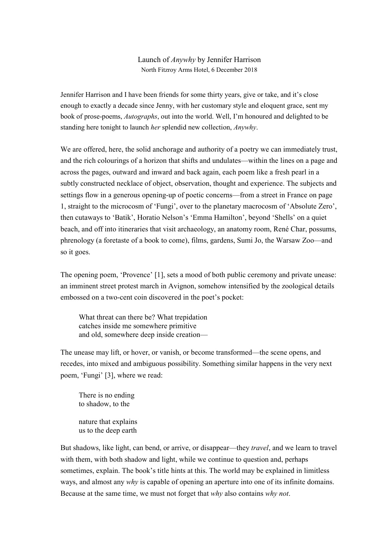## Launch of *Anywhy* by Jennifer Harrison North Fitzroy Arms Hotel, 6 December 2018

Jennifer Harrison and I have been friends for some thirty years, give or take, and it's close enough to exactly a decade since Jenny, with her customary style and eloquent grace, sent my book of prose-poems, *Autographs*, out into the world. Well, I'm honoured and delighted to be standing here tonight to launch *her* splendid new collection, *Anywhy*.

We are offered, here, the solid anchorage and authority of a poetry we can immediately trust, and the rich colourings of a horizon that shifts and undulates—within the lines on a page and across the pages, outward and inward and back again, each poem like a fresh pearl in a subtly constructed necklace of object, observation, thought and experience. The subjects and settings flow in a generous opening-up of poetic concerns—from a street in France on page 1, straight to the microcosm of 'Fungi', over to the planetary macrocosm of 'Absolute Zero', then cutaways to 'Batik', Horatio Nelson's 'Emma Hamilton', beyond 'Shells' on a quiet beach, and off into itineraries that visit archaeology, an anatomy room, René Char, possums, phrenology (a foretaste of a book to come), films, gardens, Sumi Jo, the Warsaw Zoo—and so it goes.

The opening poem, 'Provence' [1], sets a mood of both public ceremony and private unease: an imminent street protest march in Avignon, somehow intensified by the zoological details embossed on a two-cent coin discovered in the poet's pocket:

What threat can there be? What trepidation catches inside me somewhere primitive and old, somewhere deep inside creation—

The unease may lift, or hover, or vanish, or become transformed—the scene opens, and recedes, into mixed and ambiguous possibility. Something similar happens in the very next poem, 'Fungi' [3], where we read:

There is no ending to shadow, to the nature that explains us to the deep earth

But shadows, like light, can bend, or arrive, or disappear—they *travel*, and we learn to travel with them, with both shadow and light, while we continue to question and, perhaps sometimes, explain. The book's title hints at this. The world may be explained in limitless ways, and almost any *why* is capable of opening an aperture into one of its infinite domains. Because at the same time, we must not forget that *why* also contains *why not*.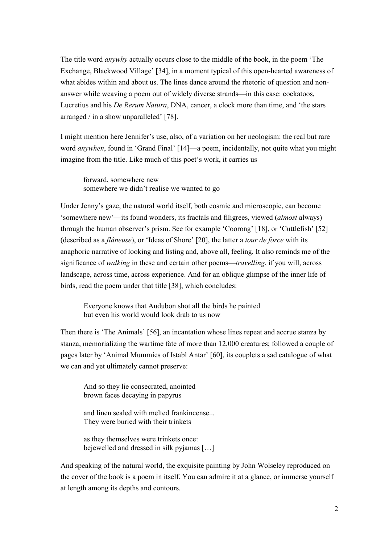The title word *anywhy* actually occurs close to the middle of the book, in the poem 'The Exchange, Blackwood Village' [34], in a moment typical of this open-hearted awareness of what abides within and about us. The lines dance around the rhetoric of question and nonanswer while weaving a poem out of widely diverse strands—in this case: cockatoos, Lucretius and his *De Rerum Natura*, DNA, cancer, a clock more than time, and 'the stars arranged / in a show unparalleled' [78].

I might mention here Jennifer's use, also, of a variation on her neologism: the real but rare word *anywhen*, found in 'Grand Final' [14]—a poem, incidentally, not quite what you might imagine from the title. Like much of this poet's work, it carries us

forward, somewhere new somewhere we didn't realise we wanted to go

Under Jenny's gaze, the natural world itself, both cosmic and microscopic, can become 'somewhere new'—its found wonders, its fractals and filigrees, viewed (*almost* always) through the human observer's prism. See for example 'Coorong' [18], or 'Cuttlefish' [52] (described as a *flâneuse*), or 'Ideas of Shore' [20], the latter a *tour de force* with its anaphoric narrative of looking and listing and, above all, feeling. It also reminds me of the significance of *walking* in these and certain other poems—*travelling*, if you will, across landscape, across time, across experience. And for an oblique glimpse of the inner life of birds, read the poem under that title [38], which concludes:

Everyone knows that Audubon shot all the birds he painted but even his world would look drab to us now

Then there is 'The Animals' [56], an incantation whose lines repeat and accrue stanza by stanza, memorializing the wartime fate of more than 12,000 creatures; followed a couple of pages later by 'Animal Mummies of Istabl Antar' [60], its couplets a sad catalogue of what we can and yet ultimately cannot preserve:

And so they lie consecrated, anointed brown faces decaying in papyrus

and linen sealed with melted frankincense... They were buried with their trinkets

as they themselves were trinkets once: bejewelled and dressed in silk pyjamas […]

And speaking of the natural world, the exquisite painting by John Wolseley reproduced on the cover of the book is a poem in itself. You can admire it at a glance, or immerse yourself at length among its depths and contours.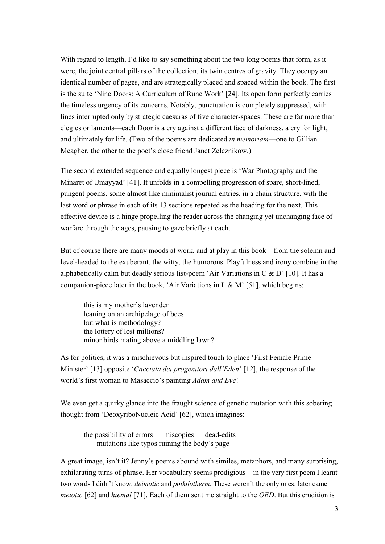With regard to length, I'd like to say something about the two long poems that form, as it were, the joint central pillars of the collection, its twin centres of gravity. They occupy an identical number of pages, and are strategically placed and spaced within the book. The first is the suite 'Nine Doors: A Curriculum of Rune Work' [24]. Its open form perfectly carries the timeless urgency of its concerns. Notably, punctuation is completely suppressed, with lines interrupted only by strategic caesuras of five character-spaces. These are far more than elegies or laments—each Door is a cry against a different face of darkness, a cry for light, and ultimately for life. (Two of the poems are dedicated *in memoriam*—one to Gillian Meagher, the other to the poet's close friend Janet Zeleznikow.)

The second extended sequence and equally longest piece is 'War Photography and the Minaret of Umayyad' [41]. It unfolds in a compelling progression of spare, short-lined, pungent poems, some almost like minimalist journal entries, in a chain structure, with the last word or phrase in each of its 13 sections repeated as the heading for the next. This effective device is a hinge propelling the reader across the changing yet unchanging face of warfare through the ages, pausing to gaze briefly at each.

But of course there are many moods at work, and at play in this book—from the solemn and level-headed to the exuberant, the witty, the humorous. Playfulness and irony combine in the alphabetically calm but deadly serious list-poem 'Air Variations in  $C \& D'$  [10]. It has a companion-piece later in the book, 'Air Variations in L & M' [51], which begins:

this is my mother's lavender leaning on an archipelago of bees but what is methodology? the lottery of lost millions? minor birds mating above a middling lawn?

As for politics, it was a mischievous but inspired touch to place 'First Female Prime Minister' [13] opposite '*Cacciata dei progenitori dall'Eden*' [12], the response of the world's first woman to Masaccio's painting *Adam and Eve*!

We even get a quirky glance into the fraught science of genetic mutation with this sobering thought from 'DeoxyriboNucleic Acid' [62], which imagines:

the possibility of errors miscopies dead-edits mutations like typos ruining the body's page

A great image, isn't it? Jenny's poems abound with similes, metaphors, and many surprising, exhilarating turns of phrase. Her vocabulary seems prodigious—in the very first poem I learnt two words I didn't know: *deimatic* and *poikilotherm*. These weren't the only ones: later came *meiotic* [62] and *hiemal* [71]. Each of them sent me straight to the *OED*. But this erudition is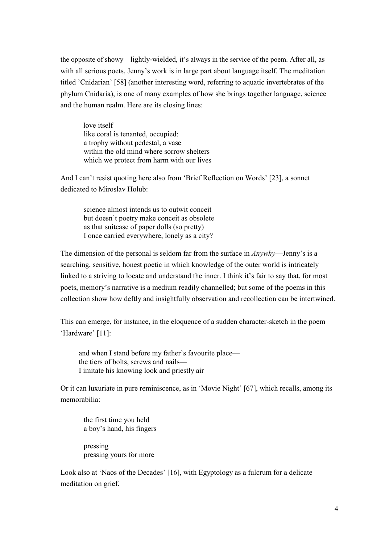the opposite of showy—lightly-wielded, it's always in the service of the poem. After all, as with all serious poets, Jenny's work is in large part about language itself. The meditation titled 'Cnidarian' [58] (another interesting word, referring to aquatic invertebrates of the phylum Cnidaria), is one of many examples of how she brings together language, science and the human realm. Here are its closing lines:

love itself like coral is tenanted, occupied: a trophy without pedestal, a vase within the old mind where sorrow shelters which we protect from harm with our lives

And I can't resist quoting here also from 'Brief Reflection on Words' [23], a sonnet dedicated to Miroslav Holub:

science almost intends us to outwit conceit but doesn't poetry make conceit as obsolete as that suitcase of paper dolls (so pretty) I once carried everywhere, lonely as a city?

The dimension of the personal is seldom far from the surface in *Anywhy*—Jenny's is a searching, sensitive, honest poetic in which knowledge of the outer world is intricately linked to a striving to locate and understand the inner. I think it's fair to say that, for most poets, memory's narrative is a medium readily channelled; but some of the poems in this collection show how deftly and insightfully observation and recollection can be intertwined.

This can emerge, for instance, in the eloquence of a sudden character-sketch in the poem 'Hardware' [11]:

and when I stand before my father's favourite place the tiers of bolts, screws and nails— I imitate his knowing look and priestly air

Or it can luxuriate in pure reminiscence, as in 'Movie Night' [67], which recalls, among its memorabilia:

the first time you held a boy's hand, his fingers

pressing pressing yours for more

Look also at 'Naos of the Decades' [16], with Egyptology as a fulcrum for a delicate meditation on grief.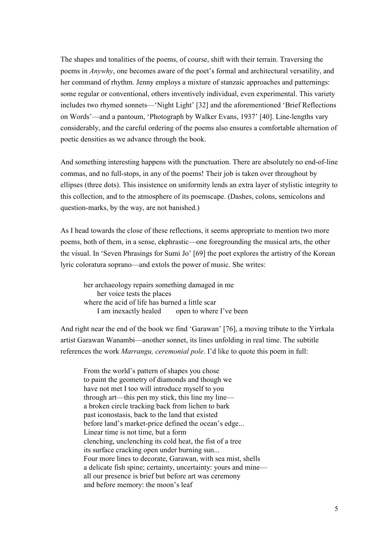The shapes and tonalities of the poems, of course, shift with their terrain. Traversing the poems in *Anywhy*, one becomes aware of the poet's formal and architectural versatility, and her command of rhythm. Jenny employs a mixture of stanzaic approaches and patternings: some regular or conventional, others inventively individual, even experimental. This variety includes two rhymed sonnets—'Night Light' [32] and the aforementioned 'Brief Reflections on Words'—and a pantoum, 'Photograph by Walker Evans, 1937' [40]. Line-lengths vary considerably, and the careful ordering of the poems also ensures a comfortable alternation of poetic densities as we advance through the book.

And something interesting happens with the punctuation. There are absolutely no end-of-line commas, and no full-stops, in any of the poems! Their job is taken over throughout by ellipses (three dots). This insistence on uniformity lends an extra layer of stylistic integrity to this collection, and to the atmosphere of its poemscape. (Dashes, colons, semicolons and question-marks, by the way, are not banished.)

As I head towards the close of these reflections, it seems appropriate to mention two more poems, both of them, in a sense, ekphrastic—one foregrounding the musical arts, the other the visual. In 'Seven Phrasings for Sumi Jo' [69] the poet explores the artistry of the Korean lyric coloratura soprano—and extols the power of music. She writes:

her archaeology repairs something damaged in me her voice tests the places where the acid of life has burned a little scar I am inexactly healed open to where I've been

And right near the end of the book we find 'Garawan' [76], a moving tribute to the Yirrkala artist Garawan Wanambi—another sonnet, its lines unfolding in real time. The subtitle references the work *Marrangu, ceremonial pole*. I'd like to quote this poem in full:

From the world's pattern of shapes you chose to paint the geometry of diamonds and though we have not met I too will introduce myself to you through art—this pen my stick, this line my line a broken circle tracking back from lichen to bark past iconostasis, back to the land that existed before land's market-price defined the ocean's edge... Linear time is not time, but a form clenching, unclenching its cold heat, the fist of a tree its surface cracking open under burning sun... Four more lines to decorate, Garawan, with sea mist, shells a delicate fish spine; certainty, uncertainty: yours and mine all our presence is brief but before art was ceremony and before memory: the moon's leaf